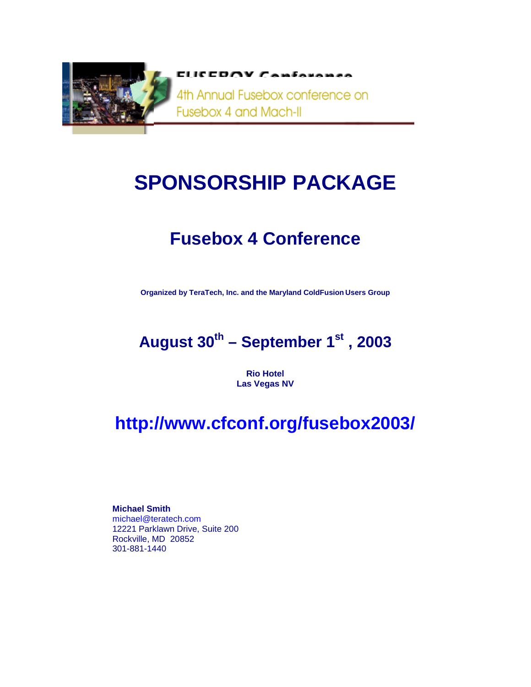

ELICEDOV CAMEARAMAA

4th Annual Fusebox conference on Fusebox 4 and Mach-II

# **SPONSORSHIP PACKAGE**

# **Fusebox 4 Conference**

**Organized by TeraTech, Inc. and the Maryland ColdFusion Users Group** 

# August 30<sup>th</sup> – September 1<sup>st</sup>, 2003

**Rio Hotel Las Vegas NV** 

# **http://www.cfconf.org/fusebox2003/**

**Michael Smith**  michael@teratech.com 12221 Parklawn Drive, Suite 200 Rockville, MD 20852 301-881-1440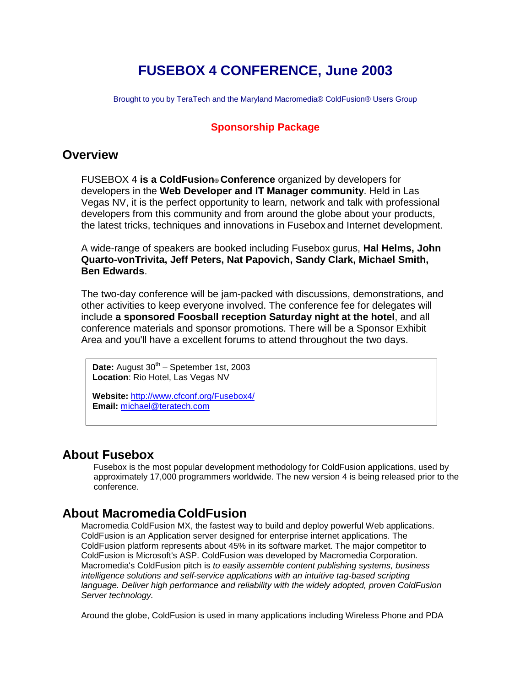# **FUSEBOX 4 CONFERENCE, June 2003**

Brought to you by TeraTech and the Maryland Macromedia® ColdFusion® Users Group

#### **Sponsorship Package**

#### **Overview**

FUSEBOX 4 **is a ColdFusion® Conference** organized by developers for developers in the **Web Developer and IT Manager community**. Held in Las Vegas NV, it is the perfect opportunity to learn, network and talk with professional developers from this community and from around the globe about your products, the latest tricks, techniques and innovations in Fusebox and Internet development.

A wide-range of speakers are booked including Fusebox gurus, **Hal Helms, John Quarto-vonTrivita, Jeff Peters, Nat Papovich, Sandy Clark, Michael Smith, Ben Edwards**.

The two-day conference will be jam-packed with discussions, demonstrations, and other activities to keep everyone involved. The conference fee for delegates will include **a sponsored Foosball reception Saturday night at the hotel**, and all conference materials and sponsor promotions. There will be a Sponsor Exhibit Area and you'll have a excellent forums to attend throughout the two days.

Date: August 30<sup>th</sup> – Spetember 1st, 2003 **Location**: Rio Hotel, Las Vegas NV

**Website:** http://www.cfconf.org/Fusebox4/ **Email:** michael@teratech.com

## **About Fusebox**

Fusebox is the most popular development methodology for ColdFusion applications, used by approximately 17,000 programmers worldwide. The new version 4 is being released prior to the conference.

### **About Macromedia ColdFusion**

Macromedia ColdFusion MX, the fastest way to build and deploy powerful Web applications. ColdFusion is an Application server designed for enterprise internet applications. The ColdFusion platform represents about 45% in its software market. The major competitor to ColdFusion is Microsoft's ASP. ColdFusion was developed by Macromedia Corporation. Macromedia's ColdFusion pitch is *to easily assemble content publishing systems, business intelligence solutions and self-service applications with an intuitive tag-based scripting*  language. Deliver high performance and reliability with the widely adopted, proven ColdFusion *Server technology.* 

Around the globe, ColdFusion is used in many applications including Wireless Phone and PDA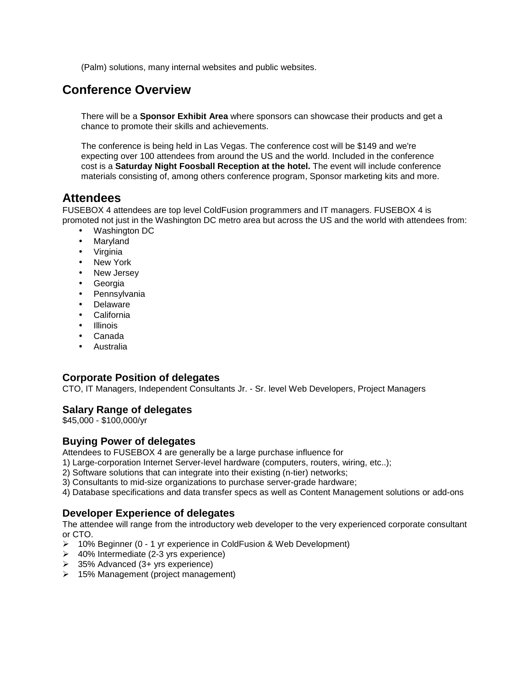(Palm) solutions, many internal websites and public websites.

# **Conference Overview**

There will be a **Sponsor Exhibit Area** where sponsors can showcase their products and get a chance to promote their skills and achievements.

The conference is being held in Las Vegas. The conference cost will be \$149 and we're expecting over 100 attendees from around the US and the world. Included in the conference cost is a **Saturday Night Foosball Reception at the hotel.** The event will include conference materials consisting of, among others conference program, Sponsor marketing kits and more.

#### **Attendees**

FUSEBOX 4 attendees are top level ColdFusion programmers and IT managers. FUSEBOX 4 is promoted not just in the Washington DC metro area but across the US and the world with attendees from:

- Washington DC
- Maryland
- Virginia
- New York
- New Jersey
- Georgia
- Pennsylvania
- **Delaware**
- California
- **Illinois**
- Canada
- Australia

#### **Corporate Position of delegates**

CTO, IT Managers, Independent Consultants Jr. - Sr. level Web Developers, Project Managers

#### **Salary Range of delegates**

\$45,000 - \$100,000/yr

#### **Buying Power of delegates**

Attendees to FUSEBOX 4 are generally be a large purchase influence for

1) Large-corporation Internet Server-level hardware (computers, routers, wiring, etc..);

2) Software solutions that can integrate into their existing (n-tier) networks;

3) Consultants to mid-size organizations to purchase server-grade hardware;

4) Database specifications and data transfer specs as well as Content Management solutions or add-ons

#### **Developer Experience of delegates**

The attendee will range from the introductory web developer to the very experienced corporate consultant or CTO.

- 10% Beginner (0 1 yr experience in ColdFusion & Web Development)
- $\geq$  40% Intermediate (2-3 yrs experience)
- $\geq$  35% Advanced (3+ yrs experience)
- 15% Management (project management)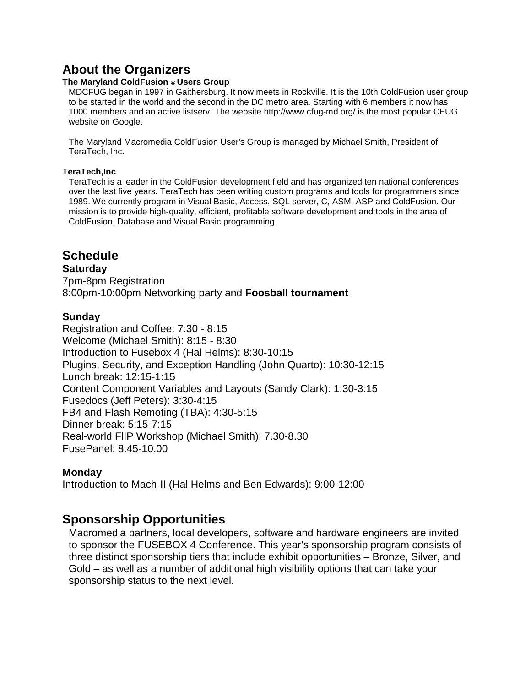# **About the Organizers**

#### **The Maryland ColdFusion ® Users Group**

MDCFUG began in 1997 in Gaithersburg. It now meets in Rockville. It is the 10th ColdFusion user group to be started in the world and the second in the DC metro area. Starting with 6 members it now has 1000 members and an active listserv. The website http://www.cfug-md.org/ is the most popular CFUG website on Google.

The Maryland Macromedia ColdFusion User's Group is managed by Michael Smith, President of TeraTech, Inc.

#### **TeraTech,Inc**

TeraTech is a leader in the ColdFusion development field and has organized ten national conferences over the last five years. TeraTech has been writing custom programs and tools for programmers since 1989. We currently program in Visual Basic, Access, SQL server, C, ASM, ASP and ColdFusion. Our mission is to provide high-quality, efficient, profitable software development and tools in the area of ColdFusion, Database and Visual Basic programming.

## **Schedule**

#### **Saturday**

7pm-8pm Registration 8:00pm-10:00pm Networking party and **Foosball tournament**

#### **Sunday**

Registration and Coffee: 7:30 - 8:15 Welcome (Michael Smith): 8:15 - 8:30 Introduction to Fusebox 4 (Hal Helms): 8:30-10:15 Plugins, Security, and Exception Handling (John Quarto): 10:30-12:15 Lunch break: 12:15-1:15 Content Component Variables and Layouts (Sandy Clark): 1:30-3:15 Fusedocs (Jeff Peters): 3:30-4:15 FB4 and Flash Remoting (TBA): 4:30-5:15 Dinner break: 5:15-7:15 Real-world FlIP Workshop (Michael Smith): 7.30-8.30 FusePanel: 8.45-10.00

#### **Monday**

Introduction to Mach-II (Hal Helms and Ben Edwards): 9:00-12:00

## **Sponsorship Opportunities**

Macromedia partners, local developers, software and hardware engineers are invited to sponsor the FUSEBOX 4 Conference. This year's sponsorship program consists of three distinct sponsorship tiers that include exhibit opportunities – Bronze, Silver, and Gold – as well as a number of additional high visibility options that can take your sponsorship status to the next level.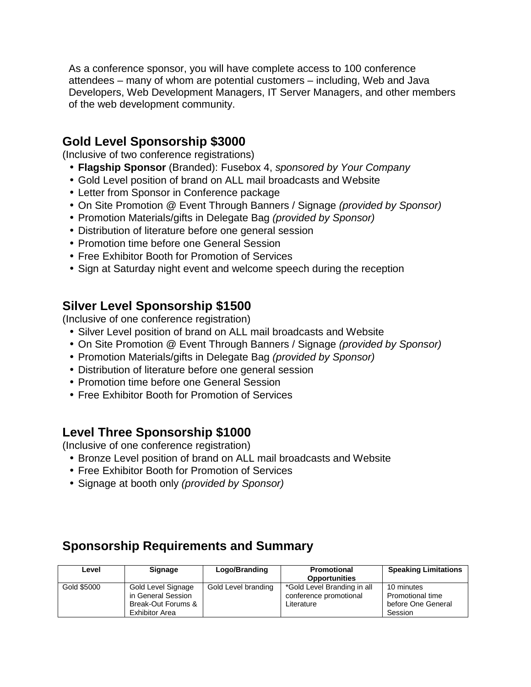As a conference sponsor, you will have complete access to 100 conference attendees – many of whom are potential customers – including, Web and Java Developers, Web Development Managers, IT Server Managers, and other members of the web development community.

# **Gold Level Sponsorship \$3000**

(Inclusive of two conference registrations)

- **Flagship Sponsor** (Branded): Fusebox 4, *sponsored by Your Company*
- Gold Level position of brand on ALL mail broadcasts and Website
- Letter from Sponsor in Conference package
- On Site Promotion @ Event Through Banners / Signage *(provided by Sponsor)*
- Promotion Materials/gifts in Delegate Bag *(provided by Sponsor)*
- Distribution of literature before one general session
- Promotion time before one General Session
- Free Exhibitor Booth for Promotion of Services
- Sign at Saturday night event and welcome speech during the reception

# **Silver Level Sponsorship \$1500**

(Inclusive of one conference registration)

- Silver Level position of brand on ALL mail broadcasts and Website
- On Site Promotion @ Event Through Banners / Signage *(provided by Sponsor)*
- Promotion Materials/gifts in Delegate Bag *(provided by Sponsor)*
- Distribution of literature before one general session
- Promotion time before one General Session
- Free Exhibitor Booth for Promotion of Services

## **Level Three Sponsorship \$1000**

(Inclusive of one conference registration)

- Bronze Level position of brand on ALL mail broadcasts and Website
- Free Exhibitor Booth for Promotion of Services
- Signage at booth only *(provided by Sponsor)*

# **Sponsorship Requirements and Summary**

| Level       | Signage               | Logo/Branding       | Promotional                 | <b>Speaking Limitations</b> |
|-------------|-----------------------|---------------------|-----------------------------|-----------------------------|
|             |                       |                     | <b>Opportunities</b>        |                             |
| Gold \$5000 | Gold Level Signage    | Gold Level branding | *Gold Level Branding in all | 10 minutes                  |
|             | in General Session    |                     | conference promotional      | <b>Promotional time</b>     |
|             | Break-Out Forums &    |                     | Literature                  | before One General          |
|             | <b>Exhibitor Area</b> |                     |                             | Session                     |